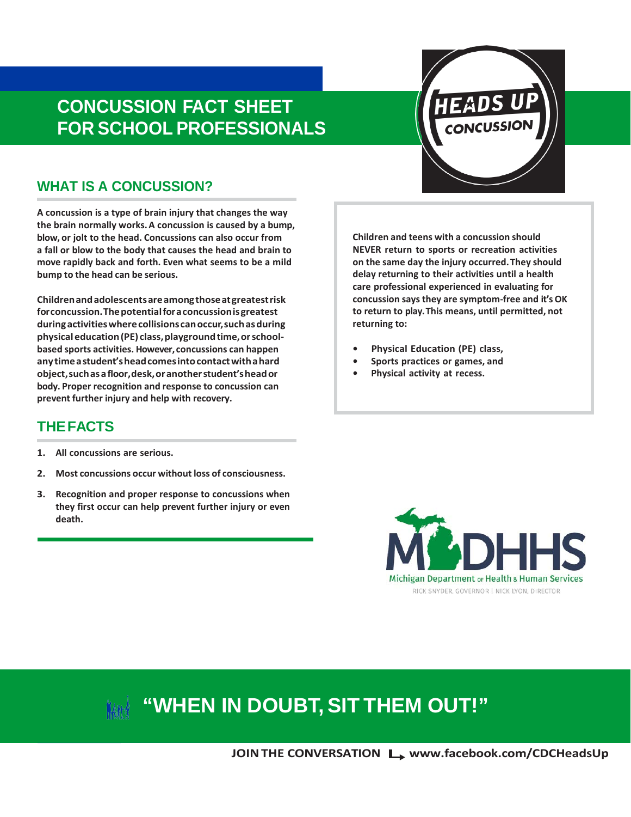# **CONCUSSION FACT SHEET FOR SCHOOL PROFESSIONALS**

### **WHAT IS A CONCUSSION?**

**A concussion is a type of brain injury that changes the way the brain normally works.A concussion is caused by a bump, blow, or jolt to the head. Concussions can also occur from a fall or blow to the body that causes the head and brain to move rapidly back and forth. Even what seems to be a mild bump to the head can be serious.**

**Childrenandadolescentsareamongthoseatgreatestrisk forconcussion.Thepotentialforaconcussionisgreatest duringactivitieswherecollisionscanoccur,suchasduring physicaleducation(PE) class,playgroundtime,orschoolbased sports activities. However, concussions can happen anytimeastudent'sheadcomesintocontactwithahard object,suchasafloor,desk,oranotherstudent'sheador body. Proper recognition and response to concussion can prevent further injury and help with recovery.**

**Children and teens with a concussion should NEVER return to sports or recreation activities on the same day the injury occurred.They should delay returning to their activities until a health care professional experienced in evaluating for concussion says they are symptom-free and it'sOK to return to play.This means, until permitted, not returning to:**

- **• Physical Education (PE) class,**
- **• Sports practices or games, and**
- **• Physical activity at recess.**

### **THEFACTS**

- **1. All concussions are serious.**
- **2. Most concussions occur without loss of consciousness.**
- **3. Recognition and proper response to concussions when they first occur can help prevent further injury or even death.**

Michigan Department or Health & Human Services RICK SNYDER, GOVERNOR | NICK LYON, DIRECTOR

# **"WHEN IN DOUBT,SIT THEM OUT!"**

**JOIN THE CONVERSATION L [www.facebook.com/CDCHeadsUp](http://www.facebook.com/CDCHeadsUp)**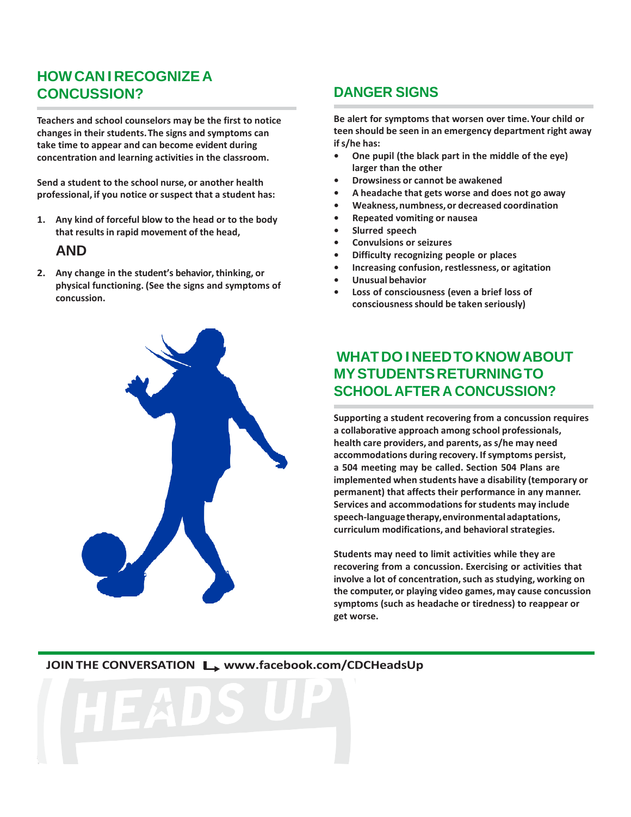### **HOWCAN I RECOGNIZE A CONCUSSION?**

**Teachers and school counselors may be the first to notice changes in their students.The signs and symptoms can take time to appear and can become evident during concentration and learning activities in the classroom.**

**Send a student to the school nurse, or another health professional, if you notice or suspect that a student has:**

**1. Any kind of forceful blow to the head or to the body that results in rapid movement of the head,**

### **AND**

**2. Any change in the student's behavior,thinking, or physical functioning. (See the signs and symptoms of concussion.**



### **DANGER SIGNS**

**Be alert for symptoms that worsen over time.Your child or teen should be seen in an emergency department right away ifs/he has:**

- **• One pupil (the black part in the middle of the eye) larger than the other**
- **• Drowsiness or cannot be awakened**
- **• A headache that gets worse and does not go away**
- **• Weakness,numbness,or decreased coordination**
- **• Repeated vomiting or nausea**
- **• Slurred speech**
- **• Convulsions or seizures**
- **• Difficulty recognizing people or places**
- **• Increasing confusion, restlessness, or agitation**
- **• Unusual behavior**
- **• Loss of consciousness (even a brief loss of consciousnessshould be taken seriously)**

### **WHATDO INEEDTOKNOWABOUT MYSTUDENTSRETURNINGTO SCHOOL AFTER A CONCUSSION?**

**Supporting a student recovering from a concussion requires a collaborative approach among school professionals, health care providers, and parents, as s/he may need accommodations during recovery. If symptoms persist, a 504 meeting may be called. Section 504 Plans are implemented when students have a disability (temporary or permanent) that affects their performance in any manner. Services and accommodations for students may include speech-languagetherapy,environmentaladaptations, curriculum modifications, and behavioral strategies.**

**Students may need to limit activities while they are recovering from a concussion. Exercising or activities that involve a lot of concentration,such as studying, working on the computer, or playing video games, may cause concussion symptoms (such as headache or tiredness) to reappear or get worse.**

#### **JOINTHE CONVERSATION [www.facebook.com/CDCHeadsUp](http://www.facebook.com/CDCHeadsUp)**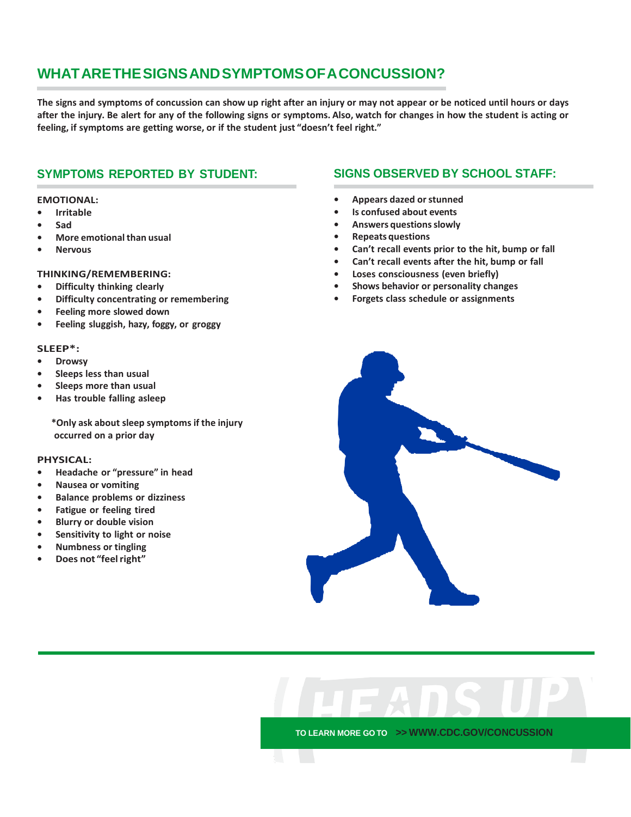## **WHATARETHESIGNSANDSYMPTOMSOFACONCUSSION?**

The signs and symptoms of concussion can show up right after an injury or may not appear or be noticed until hours or days after the injury. Be alert for any of the following signs or symptoms. Also, watch for changes in how the student is acting or **feeling, if symptoms are getting worse, or if the student just "doesn't feel right."**

### **SYMPTOMS REPORTED BY STUDENT:**

#### **EMOTIONAL:**

- **• Irritable**
- **• Sad**
- **• More emotional than usual**
- **• Nervous**

#### **THINKING/REMEMBERING:**

- **• Difficulty thinking clearly**
- **• Difficulty concentrating or remembering**
- **• Feeling more slowed down**
- **• Feeling sluggish, hazy, foggy, or groggy**

#### **SLEEP\*:**

- **• Drowsy**
- **• Sleeps less than usual**
- **• Sleeps more than usual**
- **• Has trouble falling asleep**

**\*Only ask about sleep symptoms if the injury occurred on a prior day**

#### **PHYSICAL:**

- **• Headache or "pressure" in head**
- **• Nausea or vomiting**
- **• Balance problems or dizziness**
- **• Fatigue or feeling tired**
- **• Blurry or double vision**
- **• Sensitivity to light or noise**
- **• Numbness or tingling**
- **• Does not "feelright"**

#### **SIGNS OBSERVED BY SCHOOL STAFF:**

- **• Appears dazed or stunned**
- **• Is confused about events**
- **• Answers questionsslowly**
- **• Repeats questions**
- **• Can't recall events prior to the hit, bump or fall**
- **• Can't recall events after the hit, bump or fall**
- **• Loses consciousness (even briefly)**
- **• Shows behavior or personality changes**
- **• Forgets class schedule or assignments**



**TO LEARN MORE GO TO >> [WWW.CDC.GOV/CONCUSSION](http://www.cdc.gov/CONCUSSION)**